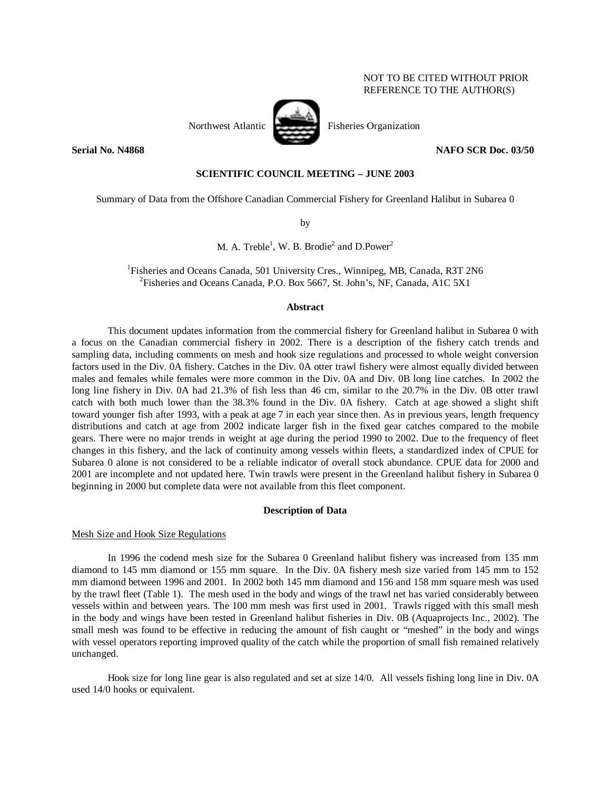# NOT TO BE CITED WITHOUT PRIOR REFERENCE TO THE AUTHOR(S)

# Northwest Atlantic Fisheries Organization

**Serial No. N4868 NAFO SCR Doc. 03/50** 

# **SCIENTIFIC COUNCIL MEETING – JUNE 2003**

Summary of Data from the Offshore Canadian Commercial Fishery for Greenland Halibut in Subarea 0

by

# M. A. Treble<sup>1</sup>, W. B. Brodie<sup>2</sup> and D.Power<sup>2</sup>

<sup>1</sup>Fisheries and Oceans Canada, 501 University Cres., Winnipeg, MB, Canada, R3T 2N6<br><sup>2</sup>Eisheries and Oceans Canada, B.O. Box 5667, St. John's NE Canada, A1C 5X1 Fisheries and Oceans Canada, P.O. Box 5667, St. John's, NF, Canada, A1C 5X1

# **Abstract**

 This document updates information from the commercial fishery for Greenland halibut in Subarea 0 with a focus on the Canadian commercial fishery in 2002. There is a description of the fishery catch trends and sampling data, including comments on mesh and hook size regulations and processed to whole weight conversion factors used in the Div. 0A fishery. Catches in the Div. 0A otter trawl fishery were almost equally divided between males and females while females were more common in the Div. 0A and Div. 0B long line catches. In 2002 the long line fishery in Div. 0A had 21.3% of fish less than 46 cm, similar to the 20.7% in the Div. 0B otter trawl catch with both much lower than the 38.3% found in the Div. 0A fishery. Catch at age showed a slight shift toward younger fish after 1993, with a peak at age 7 in each year since then. As in previous years, length frequency distributions and catch at age from 2002 indicate larger fish in the fixed gear catches compared to the mobile gears. There were no major trends in weight at age during the period 1990 to 2002. Due to the frequency of fleet changes in this fishery, and the lack of continuity among vessels within fleets, a standardized index of CPUE for Subarea 0 alone is not considered to be a reliable indicator of overall stock abundance. CPUE data for 2000 and 2001 are incomplete and not updated here. Twin trawls were present in the Greenland halibut fishery in Subarea 0 beginning in 2000 but complete data were not available from this fleet component.

# **Description of Data**

# Mesh Size and Hook Size Regulations

 In 1996 the codend mesh size for the Subarea 0 Greenland halibut fishery was increased from 135 mm diamond to 145 mm diamond or 155 mm square. In the Div. 0A fishery mesh size varied from 145 mm to 152 mm diamond between 1996 and 2001. In 2002 both 145 mm diamond and 156 and 158 mm square mesh was used by the trawl fleet (Table 1). The mesh used in the body and wings of the trawl net has varied considerably between vessels within and between years. The 100 mm mesh was first used in 2001. Trawls rigged with this small mesh in the body and wings have been tested in Greenland halibut fisheries in Div. 0B (Aquaprojects Inc., 2002). The small mesh was found to be effective in reducing the amount of fish caught or "meshed" in the body and wings with vessel operators reporting improved quality of the catch while the proportion of small fish remained relatively unchanged.

 Hook size for long line gear is also regulated and set at size 14/0. All vessels fishing long line in Div. 0A used 14/0 hooks or equivalent.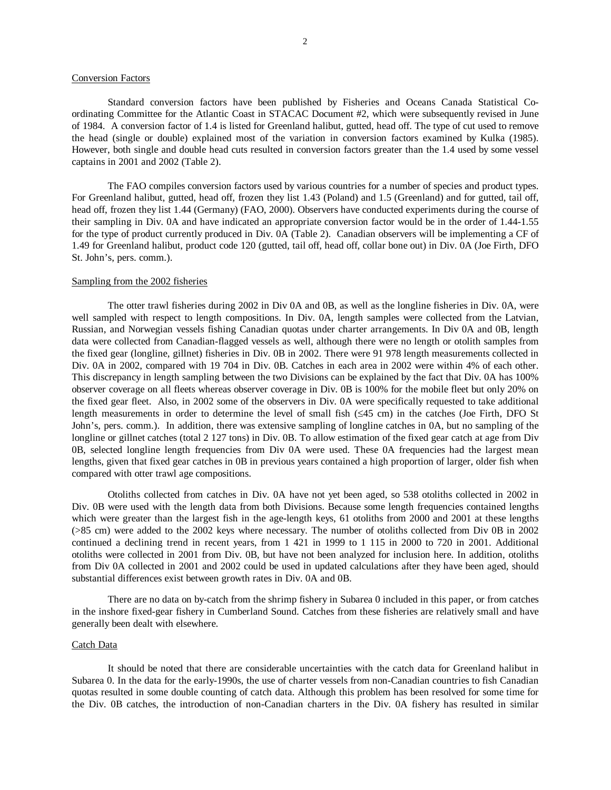#### Conversion Factors

 Standard conversion factors have been published by Fisheries and Oceans Canada Statistical Coordinating Committee for the Atlantic Coast in STACAC Document #2, which were subsequently revised in June of 1984. A conversion factor of 1.4 is listed for Greenland halibut, gutted, head off. The type of cut used to remove the head (single or double) explained most of the variation in conversion factors examined by Kulka (1985). However, both single and double head cuts resulted in conversion factors greater than the 1.4 used by some vessel captains in 2001 and 2002 (Table 2).

The FAO compiles conversion factors used by various countries for a number of species and product types. For Greenland halibut, gutted, head off, frozen they list 1.43 (Poland) and 1.5 (Greenland) and for gutted, tail off, head off, frozen they list 1.44 (Germany) (FAO, 2000). Observers have conducted experiments during the course of their sampling in Div. 0A and have indicated an appropriate conversion factor would be in the order of 1.44-1.55 for the type of product currently produced in Div. 0A (Table 2). Canadian observers will be implementing a CF of 1.49 for Greenland halibut, product code 120 (gutted, tail off, head off, collar bone out) in Div. 0A (Joe Firth, DFO St. John's, pers. comm.).

### Sampling from the 2002 fisheries

The otter trawl fisheries during 2002 in Div 0A and 0B, as well as the longline fisheries in Div. 0A, were well sampled with respect to length compositions. In Div. 0A, length samples were collected from the Latvian, Russian, and Norwegian vessels fishing Canadian quotas under charter arrangements. In Div 0A and 0B, length data were collected from Canadian-flagged vessels as well, although there were no length or otolith samples from the fixed gear (longline, gillnet) fisheries in Div. 0B in 2002. There were 91 978 length measurements collected in Div. 0A in 2002, compared with 19 704 in Div. 0B. Catches in each area in 2002 were within 4% of each other. This discrepancy in length sampling between the two Divisions can be explained by the fact that Div. 0A has 100% observer coverage on all fleets whereas observer coverage in Div. 0B is 100% for the mobile fleet but only 20% on the fixed gear fleet. Also, in 2002 some of the observers in Div. 0A were specifically requested to take additional length measurements in order to determine the level of small fish (≤45 cm) in the catches (Joe Firth, DFO St John's, pers. comm.). In addition, there was extensive sampling of longline catches in 0A, but no sampling of the longline or gillnet catches (total 2 127 tons) in Div. 0B. To allow estimation of the fixed gear catch at age from Div 0B, selected longline length frequencies from Div 0A were used. These 0A frequencies had the largest mean lengths, given that fixed gear catches in 0B in previous years contained a high proportion of larger, older fish when compared with otter trawl age compositions.

Otoliths collected from catches in Div. 0A have not yet been aged, so 538 otoliths collected in 2002 in Div. 0B were used with the length data from both Divisions. Because some length frequencies contained lengths which were greater than the largest fish in the age-length keys, 61 otoliths from 2000 and 2001 at these lengths (>85 cm) were added to the 2002 keys where necessary. The number of otoliths collected from Div 0B in 2002 continued a declining trend in recent years, from 1 421 in 1999 to 1 115 in 2000 to 720 in 2001. Additional otoliths were collected in 2001 from Div. 0B, but have not been analyzed for inclusion here. In addition, otoliths from Div 0A collected in 2001 and 2002 could be used in updated calculations after they have been aged, should substantial differences exist between growth rates in Div. 0A and 0B.

There are no data on by-catch from the shrimp fishery in Subarea 0 included in this paper, or from catches in the inshore fixed-gear fishery in Cumberland Sound. Catches from these fisheries are relatively small and have generally been dealt with elsewhere.

## Catch Data

 It should be noted that there are considerable uncertainties with the catch data for Greenland halibut in Subarea 0. In the data for the early-1990s, the use of charter vessels from non-Canadian countries to fish Canadian quotas resulted in some double counting of catch data. Although this problem has been resolved for some time for the Div. 0B catches, the introduction of non-Canadian charters in the Div. 0A fishery has resulted in similar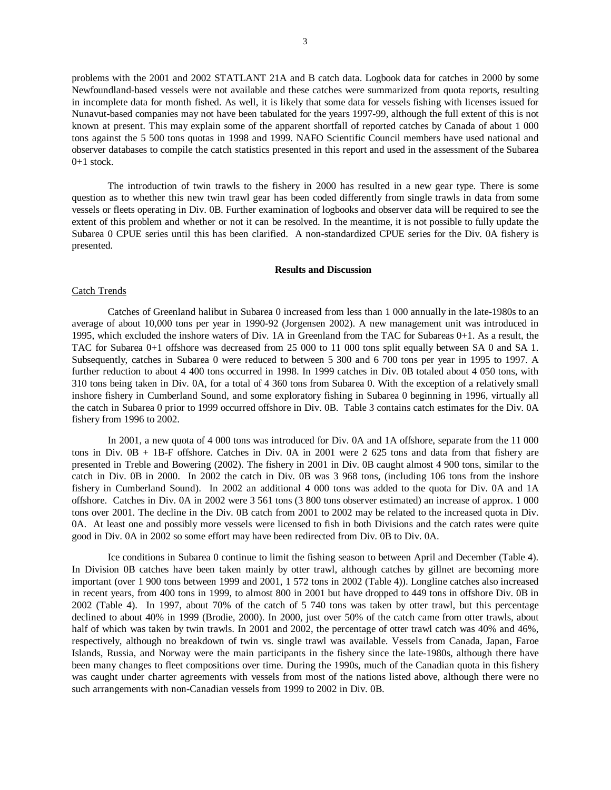problems with the 2001 and 2002 STATLANT 21A and B catch data. Logbook data for catches in 2000 by some Newfoundland-based vessels were not available and these catches were summarized from quota reports, resulting in incomplete data for month fished. As well, it is likely that some data for vessels fishing with licenses issued for Nunavut-based companies may not have been tabulated for the years 1997-99, although the full extent of this is not known at present. This may explain some of the apparent shortfall of reported catches by Canada of about 1 000 tons against the 5 500 tons quotas in 1998 and 1999. NAFO Scientific Council members have used national and observer databases to compile the catch statistics presented in this report and used in the assessment of the Subarea  $0+1$  stock.

The introduction of twin trawls to the fishery in 2000 has resulted in a new gear type. There is some question as to whether this new twin trawl gear has been coded differently from single trawls in data from some vessels or fleets operating in Div. 0B. Further examination of logbooks and observer data will be required to see the extent of this problem and whether or not it can be resolved. In the meantime, it is not possible to fully update the Subarea 0 CPUE series until this has been clarified. A non-standardized CPUE series for the Div. 0A fishery is presented.

#### **Results and Discussion**

#### Catch Trends

 Catches of Greenland halibut in Subarea 0 increased from less than 1 000 annually in the late-1980s to an average of about 10,000 tons per year in 1990-92 (Jorgensen 2002). A new management unit was introduced in 1995, which excluded the inshore waters of Div. 1A in Greenland from the TAC for Subareas 0+1. As a result, the TAC for Subarea 0+1 offshore was decreased from 25 000 to 11 000 tons split equally between SA 0 and SA 1. Subsequently, catches in Subarea 0 were reduced to between 5 300 and 6 700 tons per year in 1995 to 1997. A further reduction to about 4 400 tons occurred in 1998. In 1999 catches in Div. 0B totaled about 4 050 tons, with 310 tons being taken in Div. 0A, for a total of 4 360 tons from Subarea 0. With the exception of a relatively small inshore fishery in Cumberland Sound, and some exploratory fishing in Subarea 0 beginning in 1996, virtually all the catch in Subarea 0 prior to 1999 occurred offshore in Div. 0B. Table 3 contains catch estimates for the Div. 0A fishery from 1996 to 2002.

In 2001, a new quota of 4 000 tons was introduced for Div. 0A and 1A offshore, separate from the 11 000 tons in Div. 0B + 1B-F offshore. Catches in Div. 0A in 2001 were 2 625 tons and data from that fishery are presented in Treble and Bowering (2002). The fishery in 2001 in Div. 0B caught almost 4 900 tons, similar to the catch in Div. 0B in 2000. In 2002 the catch in Div. 0B was 3 968 tons, (including 106 tons from the inshore fishery in Cumberland Sound). In 2002 an additional 4 000 tons was added to the quota for Div. 0A and 1A offshore. Catches in Div. 0A in 2002 were 3 561 tons (3 800 tons observer estimated) an increase of approx. 1 000 tons over 2001. The decline in the Div. 0B catch from 2001 to 2002 may be related to the increased quota in Div. 0A. At least one and possibly more vessels were licensed to fish in both Divisions and the catch rates were quite good in Div. 0A in 2002 so some effort may have been redirected from Div. 0B to Div. 0A.

Ice conditions in Subarea 0 continue to limit the fishing season to between April and December (Table 4). In Division 0B catches have been taken mainly by otter trawl, although catches by gillnet are becoming more important (over 1 900 tons between 1999 and 2001, 1 572 tons in 2002 (Table 4)). Longline catches also increased in recent years, from 400 tons in 1999, to almost 800 in 2001 but have dropped to 449 tons in offshore Div. 0B in 2002 (Table 4). In 1997, about 70% of the catch of 5 740 tons was taken by otter trawl, but this percentage declined to about 40% in 1999 (Brodie, 2000). In 2000, just over 50% of the catch came from otter trawls, about half of which was taken by twin trawls. In 2001 and 2002, the percentage of otter trawl catch was 40% and 46%, respectively, although no breakdown of twin vs. single trawl was available. Vessels from Canada, Japan, Faroe Islands, Russia, and Norway were the main participants in the fishery since the late-1980s, although there have been many changes to fleet compositions over time. During the 1990s, much of the Canadian quota in this fishery was caught under charter agreements with vessels from most of the nations listed above, although there were no such arrangements with non-Canadian vessels from 1999 to 2002 in Div. 0B.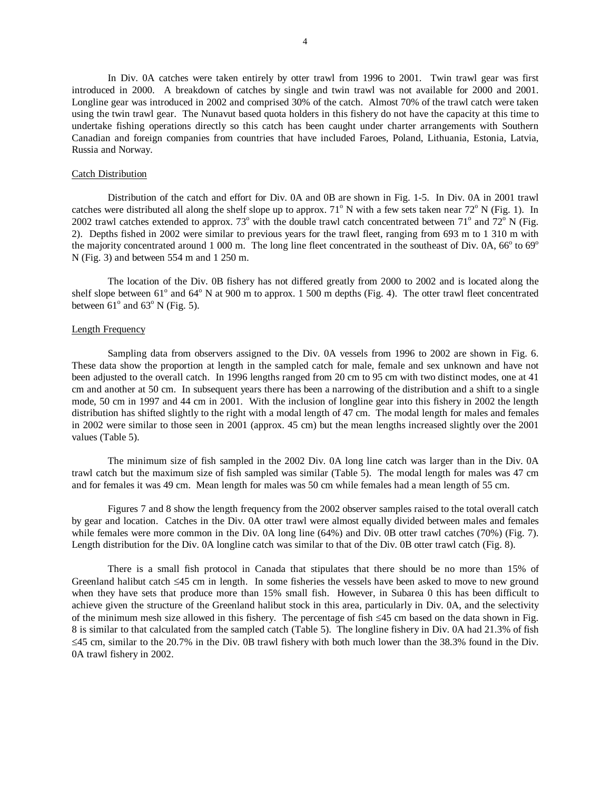In Div. 0A catches were taken entirely by otter trawl from 1996 to 2001. Twin trawl gear was first introduced in 2000. A breakdown of catches by single and twin trawl was not available for 2000 and 2001. Longline gear was introduced in 2002 and comprised 30% of the catch. Almost 70% of the trawl catch were taken using the twin trawl gear. The Nunavut based quota holders in this fishery do not have the capacity at this time to undertake fishing operations directly so this catch has been caught under charter arrangements with Southern Canadian and foreign companies from countries that have included Faroes, Poland, Lithuania, Estonia, Latvia, Russia and Norway.

#### Catch Distribution

 Distribution of the catch and effort for Div. 0A and 0B are shown in Fig. 1-5. In Div. 0A in 2001 trawl catches were distributed all along the shelf slope up to approx.  $71^{\circ}$  N with a few sets taken near  $72^{\circ}$  N (Fig. 1). In 2002 trawl catches extended to approx.  $73^{\circ}$  with the double trawl catch concentrated between  $71^{\circ}$  and  $72^{\circ}$  N (Fig. 2). Depths fished in 2002 were similar to previous years for the trawl fleet, ranging from 693 m to 1 310 m with the majority concentrated around 1 000 m. The long line fleet concentrated in the southeast of Div. 0A,  $66^{\circ}$  to  $69^{\circ}$ N (Fig. 3) and between 554 m and 1 250 m.

The location of the Div. 0B fishery has not differed greatly from 2000 to 2002 and is located along the shelf slope between  $61^\circ$  and  $64^\circ$  N at 900 m to approx. 1 500 m depths (Fig. 4). The otter trawl fleet concentrated between  $61^{\circ}$  and  $63^{\circ}$  N (Fig. 5).

## Length Frequency

 Sampling data from observers assigned to the Div. 0A vessels from 1996 to 2002 are shown in Fig. 6. These data show the proportion at length in the sampled catch for male, female and sex unknown and have not been adjusted to the overall catch. In 1996 lengths ranged from 20 cm to 95 cm with two distinct modes, one at 41 cm and another at 50 cm. In subsequent years there has been a narrowing of the distribution and a shift to a single mode, 50 cm in 1997 and 44 cm in 2001. With the inclusion of longline gear into this fishery in 2002 the length distribution has shifted slightly to the right with a modal length of 47 cm. The modal length for males and females in 2002 were similar to those seen in 2001 (approx. 45 cm) but the mean lengths increased slightly over the 2001 values (Table 5).

The minimum size of fish sampled in the 2002 Div. 0A long line catch was larger than in the Div. 0A trawl catch but the maximum size of fish sampled was similar (Table 5). The modal length for males was 47 cm and for females it was 49 cm. Mean length for males was 50 cm while females had a mean length of 55 cm.

Figures 7 and 8 show the length frequency from the 2002 observer samples raised to the total overall catch by gear and location. Catches in the Div. 0A otter trawl were almost equally divided between males and females while females were more common in the Div. 0A long line (64%) and Div. 0B otter trawl catches (70%) (Fig. 7). Length distribution for the Div. 0A longline catch was similar to that of the Div. 0B otter trawl catch (Fig. 8).

There is a small fish protocol in Canada that stipulates that there should be no more than 15% of Greenland halibut catch ≤45 cm in length. In some fisheries the vessels have been asked to move to new ground when they have sets that produce more than 15% small fish. However, in Subarea 0 this has been difficult to achieve given the structure of the Greenland halibut stock in this area, particularly in Div. 0A, and the selectivity of the minimum mesh size allowed in this fishery. The percentage of fish ≤45 cm based on the data shown in Fig. 8 is similar to that calculated from the sampled catch (Table 5). The longline fishery in Div. 0A had 21.3% of fish ≤45 cm, similar to the 20.7% in the Div. 0B trawl fishery with both much lower than the 38.3% found in the Div. 0A trawl fishery in 2002.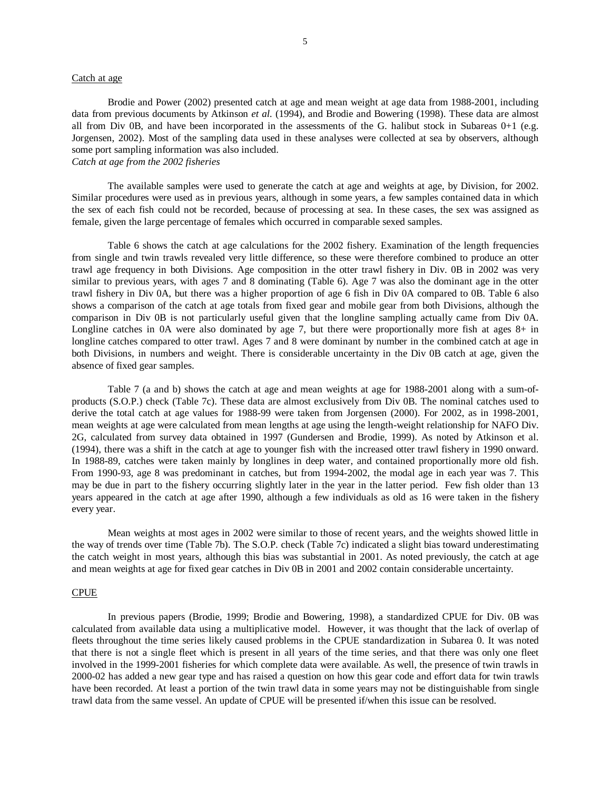#### Catch at age

Brodie and Power (2002) presented catch at age and mean weight at age data from 1988-2001, including data from previous documents by Atkinson *et al.* (1994), and Brodie and Bowering (1998). These data are almost all from Div 0B, and have been incorporated in the assessments of the G. halibut stock in Subareas 0+1 (e.g. Jorgensen, 2002). Most of the sampling data used in these analyses were collected at sea by observers, although some port sampling information was also included. *Catch at age from the 2002 fisheries* 

The available samples were used to generate the catch at age and weights at age, by Division, for 2002. Similar procedures were used as in previous years, although in some years, a few samples contained data in which the sex of each fish could not be recorded, because of processing at sea. In these cases, the sex was assigned as female, given the large percentage of females which occurred in comparable sexed samples.

Table 6 shows the catch at age calculations for the 2002 fishery. Examination of the length frequencies from single and twin trawls revealed very little difference, so these were therefore combined to produce an otter trawl age frequency in both Divisions. Age composition in the otter trawl fishery in Div. 0B in 2002 was very similar to previous years, with ages 7 and 8 dominating (Table 6). Age 7 was also the dominant age in the otter trawl fishery in Div 0A, but there was a higher proportion of age 6 fish in Div 0A compared to 0B. Table 6 also shows a comparison of the catch at age totals from fixed gear and mobile gear from both Divisions, although the comparison in Div 0B is not particularly useful given that the longline sampling actually came from Div 0A. Longline catches in 0A were also dominated by age 7, but there were proportionally more fish at ages 8+ in longline catches compared to otter trawl. Ages 7 and 8 were dominant by number in the combined catch at age in both Divisions, in numbers and weight. There is considerable uncertainty in the Div 0B catch at age, given the absence of fixed gear samples.

 Table 7 (a and b) shows the catch at age and mean weights at age for 1988-2001 along with a sum-ofproducts (S.O.P.) check (Table 7c). These data are almost exclusively from Div 0B. The nominal catches used to derive the total catch at age values for 1988-99 were taken from Jorgensen (2000). For 2002, as in 1998-2001, mean weights at age were calculated from mean lengths at age using the length-weight relationship for NAFO Div. 2G, calculated from survey data obtained in 1997 (Gundersen and Brodie, 1999). As noted by Atkinson et al. (1994), there was a shift in the catch at age to younger fish with the increased otter trawl fishery in 1990 onward. In 1988-89, catches were taken mainly by longlines in deep water, and contained proportionally more old fish. From 1990-93, age 8 was predominant in catches, but from 1994-2002, the modal age in each year was 7. This may be due in part to the fishery occurring slightly later in the year in the latter period. Few fish older than 13 years appeared in the catch at age after 1990, although a few individuals as old as 16 were taken in the fishery every year.

Mean weights at most ages in 2002 were similar to those of recent years, and the weights showed little in the way of trends over time (Table 7b). The S.O.P. check (Table 7c) indicated a slight bias toward underestimating the catch weight in most years, although this bias was substantial in 2001. As noted previously, the catch at age and mean weights at age for fixed gear catches in Div 0B in 2001 and 2002 contain considerable uncertainty.

## CPUE

In previous papers (Brodie, 1999; Brodie and Bowering, 1998), a standardized CPUE for Div. 0B was calculated from available data using a multiplicative model. However, it was thought that the lack of overlap of fleets throughout the time series likely caused problems in the CPUE standardization in Subarea 0. It was noted that there is not a single fleet which is present in all years of the time series, and that there was only one fleet involved in the 1999-2001 fisheries for which complete data were available. As well, the presence of twin trawls in 2000-02 has added a new gear type and has raised a question on how this gear code and effort data for twin trawls have been recorded. At least a portion of the twin trawl data in some years may not be distinguishable from single trawl data from the same vessel. An update of CPUE will be presented if/when this issue can be resolved.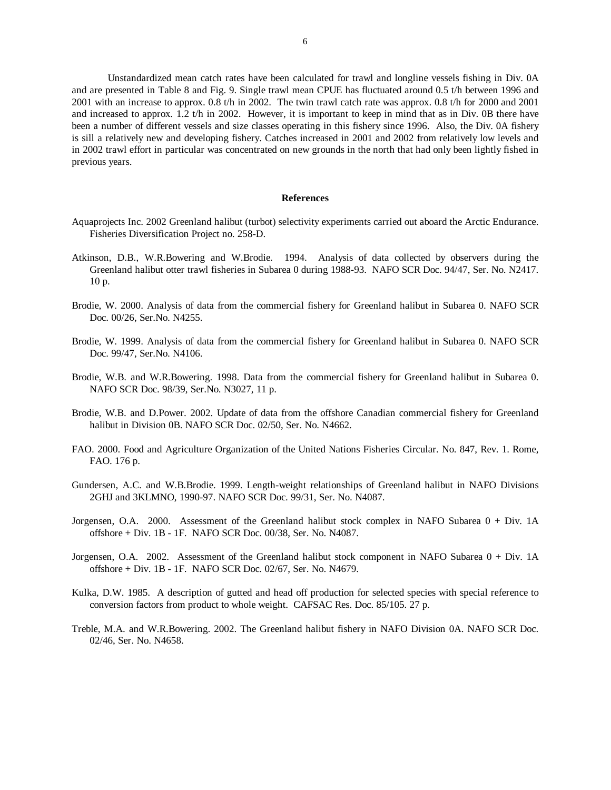Unstandardized mean catch rates have been calculated for trawl and longline vessels fishing in Div. 0A and are presented in Table 8 and Fig. 9. Single trawl mean CPUE has fluctuated around 0.5 t/h between 1996 and 2001 with an increase to approx. 0.8 t/h in 2002. The twin trawl catch rate was approx. 0.8 t/h for 2000 and 2001 and increased to approx. 1.2 t/h in 2002. However, it is important to keep in mind that as in Div. 0B there have been a number of different vessels and size classes operating in this fishery since 1996. Also, the Div. 0A fishery is sill a relatively new and developing fishery. Catches increased in 2001 and 2002 from relatively low levels and in 2002 trawl effort in particular was concentrated on new grounds in the north that had only been lightly fished in previous years.

### **References**

- Aquaprojects Inc. 2002 Greenland halibut (turbot) selectivity experiments carried out aboard the Arctic Endurance. Fisheries Diversification Project no. 258-D.
- Atkinson, D.B., W.R.Bowering and W.Brodie. 1994. Analysis of data collected by observers during the Greenland halibut otter trawl fisheries in Subarea 0 during 1988-93. NAFO SCR Doc. 94/47, Ser. No. N2417. 10 p.
- Brodie, W. 2000. Analysis of data from the commercial fishery for Greenland halibut in Subarea 0. NAFO SCR Doc. 00/26, Ser.No. N4255.
- Brodie, W. 1999. Analysis of data from the commercial fishery for Greenland halibut in Subarea 0. NAFO SCR Doc. 99/47, Ser.No. N4106.
- Brodie, W.B. and W.R.Bowering. 1998. Data from the commercial fishery for Greenland halibut in Subarea 0. NAFO SCR Doc. 98/39, Ser.No. N3027, 11 p.
- Brodie, W.B. and D.Power. 2002. Update of data from the offshore Canadian commercial fishery for Greenland halibut in Division 0B. NAFO SCR Doc. 02/50, Ser. No. N4662.
- FAO. 2000. Food and Agriculture Organization of the United Nations Fisheries Circular. No. 847, Rev. 1. Rome, FAO. 176 p.
- Gundersen, A.C. and W.B.Brodie. 1999. Length-weight relationships of Greenland halibut in NAFO Divisions 2GHJ and 3KLMNO, 1990-97. NAFO SCR Doc. 99/31, Ser. No. N4087.
- Jorgensen, O.A. 2000. Assessment of the Greenland halibut stock complex in NAFO Subarea 0 + Div. 1A offshore + Div. 1B - 1F. NAFO SCR Doc. 00/38, Ser. No. N4087.
- Jorgensen, O.A. 2002. Assessment of the Greenland halibut stock component in NAFO Subarea 0 + Div. 1A offshore + Div. 1B - 1F. NAFO SCR Doc. 02/67, Ser. No. N4679.
- Kulka, D.W. 1985. A description of gutted and head off production for selected species with special reference to conversion factors from product to whole weight. CAFSAC Res. Doc. 85/105. 27 p.
- Treble, M.A. and W.R.Bowering. 2002. The Greenland halibut fishery in NAFO Division 0A. NAFO SCR Doc. 02/46, Ser. No. N4658.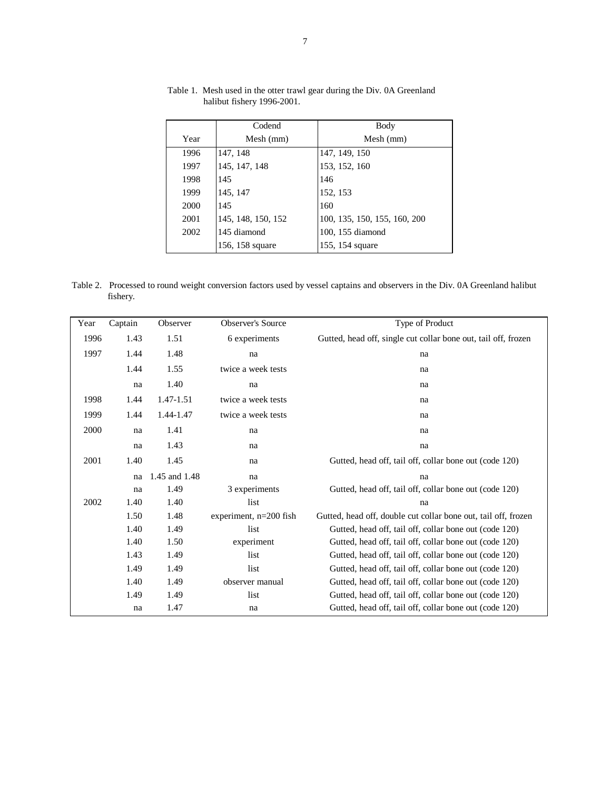|      | Codend             | Body                         |
|------|--------------------|------------------------------|
| Year | Mesh (mm)          | Mesh (mm)                    |
| 1996 | 147, 148           | 147, 149, 150                |
| 1997 | 145, 147, 148      | 153, 152, 160                |
| 1998 | 145                | 146                          |
| 1999 | 145, 147           | 152, 153                     |
| 2000 | 145                | 160                          |
| 2001 | 145, 148, 150, 152 | 100, 135, 150, 155, 160, 200 |
| 2002 | 145 diamond        | 100, 155 diamond             |
|      | 156, 158 square    | 155, 154 square              |

Table 1. Mesh used in the otter trawl gear during the Div. 0A Greenland halibut fishery 1996-2001.

Table 2. Processed to round weight conversion factors used by vessel captains and observers in the Div. 0A Greenland halibut fishery.

| Year | Captain | Observer      | <b>Observer's Source</b> | Type of Product                                                |
|------|---------|---------------|--------------------------|----------------------------------------------------------------|
| 1996 | 1.43    | 1.51          | 6 experiments            | Gutted, head off, single cut collar bone out, tail off, frozen |
| 1997 | 1.44    | 1.48          | na                       | na                                                             |
|      | 1.44    | 1.55          | twice a week tests       | na                                                             |
|      | na      | 1.40          | na                       | na                                                             |
| 1998 | 1.44    | 1.47-1.51     | twice a week tests       | na                                                             |
| 1999 | 1.44    | 1.44-1.47     | twice a week tests       | na                                                             |
| 2000 | na      | 1.41          | na                       | na                                                             |
|      | na      | 1.43          | na                       | na                                                             |
| 2001 | 1.40    | 1.45          | na                       | Gutted, head off, tail off, collar bone out (code 120)         |
|      | na      | 1.45 and 1.48 | na                       | na                                                             |
|      | na      | 1.49          | 3 experiments            | Gutted, head off, tail off, collar bone out (code 120)         |
| 2002 | 1.40    | 1.40          | list                     | na                                                             |
|      | 1.50    | 1.48          | experiment, n=200 fish   | Gutted, head off, double cut collar bone out, tail off, frozen |
|      | 1.40    | 1.49          | list                     | Gutted, head off, tail off, collar bone out (code 120)         |
|      | 1.40    | 1.50          | experiment               | Gutted, head off, tail off, collar bone out (code 120)         |
|      | 1.43    | 1.49          | list                     | Gutted, head off, tail off, collar bone out (code 120)         |
|      | 1.49    | 1.49          | list                     | Gutted, head off, tail off, collar bone out (code 120)         |
|      | 1.40    | 1.49          | observer manual          | Gutted, head off, tail off, collar bone out (code 120)         |
|      | 1.49    | 1.49          | list                     | Gutted, head off, tail off, collar bone out (code 120)         |
|      | na      | 1.47          | na                       | Gutted, head off, tail off, collar bone out (code 120)         |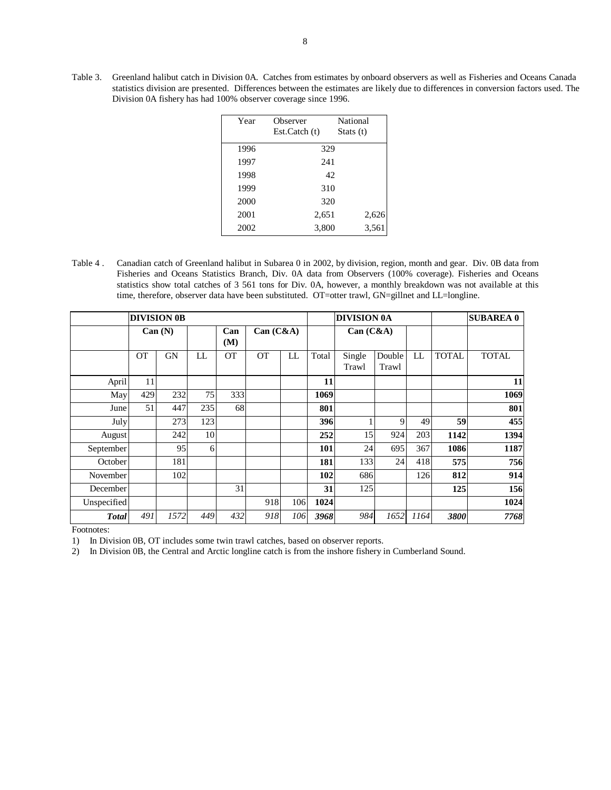Table 3. Greenland halibut catch in Division 0A. Catches from estimates by onboard observers as well as Fisheries and Oceans Canada statistics division are presented. Differences between the estimates are likely due to differences in conversion factors used. The Division 0A fishery has had 100% observer coverage since 1996.

| Year | Observer     | National    |
|------|--------------|-------------|
|      | Est.Catch(t) | Stats $(t)$ |
| 1996 |              | 329         |
| 1997 |              | 241         |
| 1998 |              | 42          |
| 1999 |              | 310         |
| 2000 |              | 320         |
| 2001 | 2,651        | 2,626       |
| 2002 | 3,800        | 3,561       |

Table 4 . Canadian catch of Greenland halibut in Subarea 0 in 2002, by division, region, month and gear. Div. 0B data from Fisheries and Oceans Statistics Branch, Div. 0A data from Observers (100% coverage). Fisheries and Oceans statistics show total catches of 3 561 tons for Div. 0A, however, a monthly breakdown was not available at this time, therefore, observer data have been substituted. OT=otter trawl, GN=gillnet and LL=longline.

|              |           | <b>DIVISION 0B</b> |     |            |           |     |       | <b>DIVISION 0A</b> |                 |      |              | <b>SUBAREA 0</b> |
|--------------|-----------|--------------------|-----|------------|-----------|-----|-------|--------------------|-----------------|------|--------------|------------------|
|              | Can (N)   |                    |     | Can<br>(M) | Can (C&A) |     |       | Can (C&A)          |                 |      |              |                  |
|              | <b>OT</b> | <b>GN</b>          | LL  | <b>OT</b>  | <b>OT</b> | LL  | Total | Single<br>Trawl    | Double<br>Trawl | LL   | <b>TOTAL</b> | <b>TOTAL</b>     |
| April        | 11        |                    |     |            |           |     | 11    |                    |                 |      |              | 11               |
| May          | 429       | 232                | 75  | 333        |           |     | 1069  |                    |                 |      |              | 1069             |
| June         | 51        | 447                | 235 | 68         |           |     | 801   |                    |                 |      |              | 801              |
| July         |           | 273                | 123 |            |           |     | 396   |                    | 9               | 49   | 59           | 455              |
| August       |           | 242                | 10  |            |           |     | 252   | 15                 | 924             | 203  | 1142         | 1394             |
| September    |           | 95                 | 6   |            |           |     | 101   | 24                 | 695             | 367  | 1086         | 1187             |
| October      |           | 181                |     |            |           |     | 181   | 133                | 24              | 418  | 575          | 756              |
| November     |           | 102                |     |            |           |     | 102   | 686                |                 | 126  | 812          | 914              |
| December     |           |                    |     | 31         |           |     | 31    | 125                |                 |      | 125          | 156              |
| Unspecified  |           |                    |     |            | 918       | 106 | 1024  |                    |                 |      |              | 1024             |
| <b>Total</b> | 491       | 1572               | 449 | 432        | 918       | 106 | 3968  | 984                | 1652            | 1164 | 3800         | 7768             |

Footnotes:

1) In Division 0B, OT includes some twin trawl catches, based on observer reports.

2) In Division 0B, the Central and Arctic longline catch is from the inshore fishery in Cumberland Sound.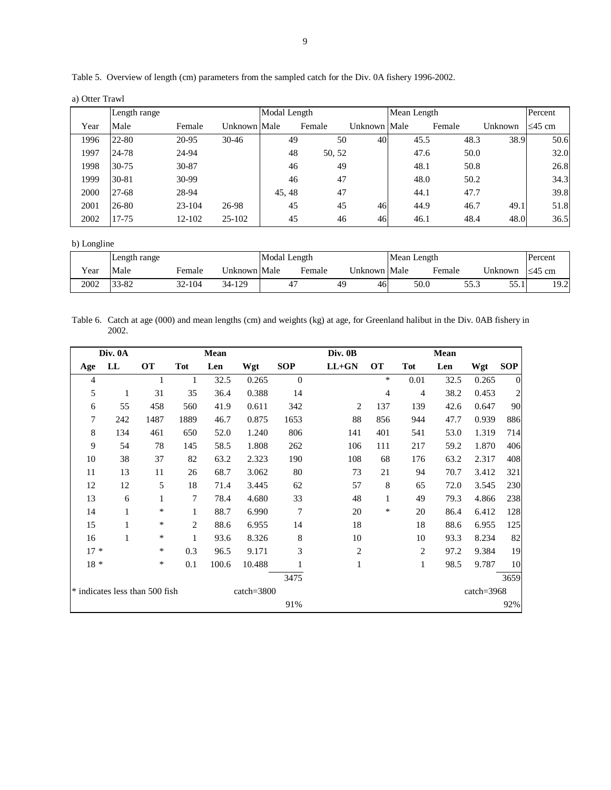| Table 5. Overview of length (cm) parameters from the sampled catch for the Div. 0A fishery 1996-2002. |  |  |
|-------------------------------------------------------------------------------------------------------|--|--|
|                                                                                                       |  |  |

a) Otter Trawl

|      | Length range |        |              | Modal Length |        |              | Mean Length |        |         | Percent      |
|------|--------------|--------|--------------|--------------|--------|--------------|-------------|--------|---------|--------------|
| Year | Male         | Female | Unknown Male |              | Female | Unknown Male |             | Female | Unknown | $\leq$ 45 cm |
| 1996 | 22-80        | 20-95  | $30-46$      | 49           |        | 40<br>50     | 45.5        | 48.3   | 38.9    | 50.6         |
| 1997 | 24-78        | 24-94  |              | 48           | 50, 52 |              | 47.6        | 50.0   |         | 32.0         |
| 1998 | $30 - 75$    | 30-87  |              | 46           |        | 49           | 48.1        | 50.8   |         | 26.8         |
| 1999 | $30 - 81$    | 30-99  |              | 46           |        | 47           | 48.0        | 50.2   |         | 34.3         |
| 2000 | 27-68        | 28-94  |              | 45, 48       |        | 47           | 44.1        | 47.7   |         | 39.8         |
| 2001 | 26-80        | 23-104 | 26-98        | 45           |        | 45<br>46     | 44.9        | 46.7   | 49.1    | 51.8         |
| 2002 | 17-75        | 12-102 | $25 - 102$   | 45           |        | 46<br>46     | 46.1        | 48.4   | 48.0    | 36.5         |

b) Longline

|      | Length range |        |              |  | Modal Length |    |              |  | Mean Length |      |            |                       |
|------|--------------|--------|--------------|--|--------------|----|--------------|--|-------------|------|------------|-----------------------|
| Year | Male         | Female | Unknown Male |  | Female       |    | Unknown Male |  | Female      |      | Unknown    | $\leq$ 45 cm          |
| 2002 | 33-82        | 32-104 | 34-129       |  |              | 49 | 46           |  | 50.0        | 55.3 | 55<br>JJ.I | 102<br>L <i>J</i> . 4 |

Table 6. Catch at age (000) and mean lengths (cm) and weights (kg) at age, for Greenland halibut in the Div. 0AB fishery in 2002.

|                | Div. 0A  |                                |            | Mean  |                |              | Div. 0B        |           |                | Mean |                |                         |
|----------------|----------|--------------------------------|------------|-------|----------------|--------------|----------------|-----------|----------------|------|----------------|-------------------------|
| Age            | $\bf{L}$ | <b>OT</b>                      | <b>Tot</b> | Len   | Wgt            | <b>SOP</b>   | $LL+GN$        | <b>OT</b> | <b>Tot</b>     | Len  | Wgt            | <b>SOP</b>              |
| 4              |          | 1                              | 1          | 32.5  | 0.265          | $\mathbf{0}$ |                | $\ast$    | 0.01           | 32.5 | 0.265          | $\theta$                |
| 5              | 1        | 31                             | 35         | 36.4  | 0.388          | 14           |                | 4         | $\overline{4}$ | 38.2 | 0.453          | $\overline{\mathbf{c}}$ |
| 6              | 55       | 458                            | 560        | 41.9  | 0.611          | 342          | 2              | 137       | 139            | 42.6 | 0.647          | 90                      |
| $\overline{7}$ | 242      | 1487                           | 1889       | 46.7  | 0.875          | 1653         | 88             | 856       | 944            | 47.7 | 0.939          | 886                     |
| $\,8\,$        | 134      | 461                            | 650        | 52.0  | 1.240          | 806          | 141            | 401       | 541            | 53.0 | 1.319          | 714                     |
| 9              | 54       | 78                             | 145        | 58.5  | 1.808          | 262          | 106            | 111       | 217            | 59.2 | 1.870          | 406                     |
| 10             | 38       | 37                             | 82         | 63.2  | 2.323          | 190          | 108            | 68        | 176            | 63.2 | 2.317          | 408                     |
| 11             | 13       | 11                             | 26         | 68.7  | 3.062          | $80\,$       | 73             | 21        | 94             | 70.7 | 3.412          | 321                     |
| 12             | 12       | 5                              | 18         | 71.4  | 3.445          | 62           | 57             | 8         | 65             | 72.0 | 3.545          | 230                     |
| 13             | 6        | $\mathbf{1}$                   | 7          | 78.4  | 4.680          | 33           | 48             | 1         | 49             | 79.3 | 4.866          | 238                     |
| 14             | 1        | ∗                              | 1          | 88.7  | 6.990          | 7            | 20             | $\ast$    | 20             | 86.4 | 6.412          | 128                     |
| 15             | 1        | ∗                              | 2          | 88.6  | 6.955          | 14           | 18             |           | 18             | 88.6 | 6.955          | 125                     |
| 16             | 1        | *                              | 1          | 93.6  | 8.326          | 8            | $10\,$         |           | 10             | 93.3 | 8.234          | 82                      |
| $17 *$         |          | *                              | 0.3        | 96.5  | 9.171          | 3            | $\overline{c}$ |           | $\overline{c}$ | 97.2 | 9.384          | 19                      |
| $18 *$         |          | *                              | 0.1        | 100.6 | 10.488         |              | 1              |           | $\mathbf{1}$   | 98.5 | 9.787          | 10                      |
|                |          |                                |            |       |                | 3475         |                |           |                |      |                | 3659                    |
|                |          | * indicates less than 500 fish |            |       | $catch = 3800$ |              |                |           |                |      | $catch = 3968$ |                         |
|                |          |                                |            |       |                | 91%          |                |           |                |      |                | 92%                     |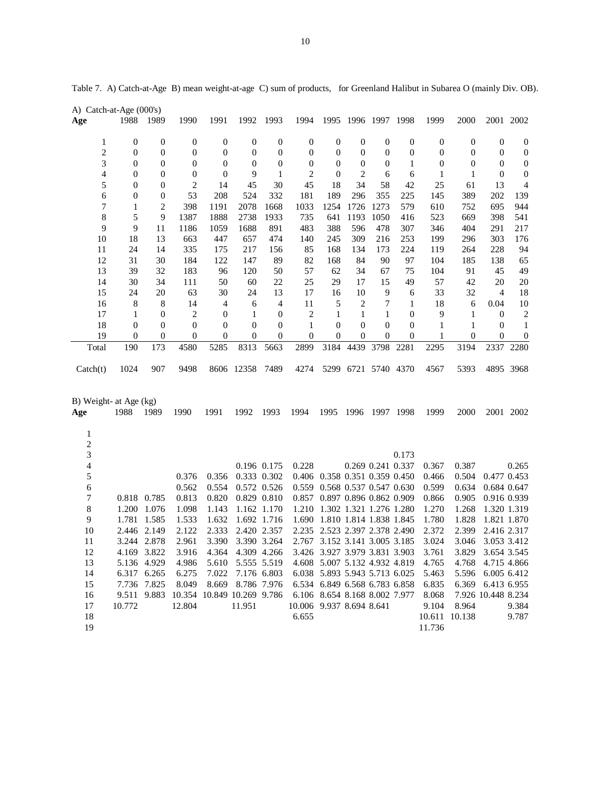|                               | A) Catch-at-Age (000's) |                  |                  |                  |                            |                  |                          |                               |                  |                         |                  |                  |                  |                    |                  |
|-------------------------------|-------------------------|------------------|------------------|------------------|----------------------------|------------------|--------------------------|-------------------------------|------------------|-------------------------|------------------|------------------|------------------|--------------------|------------------|
| Age                           | 1988                    | 1989             | 1990             | 1991             | 1992                       | 1993             | 1994                     |                               |                  | 1995 1996 1997 1998     |                  | 1999             | 2000             |                    | 2001 2002        |
| $\mathbf{1}$                  | $\boldsymbol{0}$        | $\boldsymbol{0}$ | $\boldsymbol{0}$ | $\boldsymbol{0}$ | $\boldsymbol{0}$           | $\boldsymbol{0}$ | $\boldsymbol{0}$         | $\boldsymbol{0}$              | $\boldsymbol{0}$ | $\boldsymbol{0}$        | $\boldsymbol{0}$ | $\boldsymbol{0}$ | $\boldsymbol{0}$ | $\boldsymbol{0}$   | $\boldsymbol{0}$ |
| $\overline{2}$                | $\boldsymbol{0}$        | 0                | $\boldsymbol{0}$ | 0                | $\boldsymbol{0}$           | $\boldsymbol{0}$ | $\boldsymbol{0}$         | $\boldsymbol{0}$              | $\boldsymbol{0}$ | $\boldsymbol{0}$        | $\boldsymbol{0}$ | 0                | $\boldsymbol{0}$ | $\boldsymbol{0}$   | $\boldsymbol{0}$ |
| 3                             | 0                       | 0                | $\boldsymbol{0}$ | $\boldsymbol{0}$ | $\boldsymbol{0}$           | $\boldsymbol{0}$ | $\boldsymbol{0}$         | 0                             | $\boldsymbol{0}$ | 0                       | 1                | $\boldsymbol{0}$ | $\boldsymbol{0}$ | $\boldsymbol{0}$   | $\boldsymbol{0}$ |
| 4                             | 0                       | 0                | $\boldsymbol{0}$ | 0                | 9                          | 1                | 2                        | $\boldsymbol{0}$              | 2                | 6                       | 6                | 1                | 1                | $\mathbf{0}$       | $\boldsymbol{0}$ |
| 5                             | 0                       | 0                | $\overline{2}$   | 14               | 45                         | 30               | 45                       | 18                            | 34               | 58                      | 42               | 25               | 61               | 13                 | 4                |
| 6                             | 0                       | 0                | 53               | 208              | 524                        | 332              | 181                      | 189                           | 296              | 355                     | 225              | 145              | 389              | 202                | 139              |
| 7                             | $\mathbf{1}$            | $\mathfrak{2}$   | 398              | 1191             | 2078                       | 1668             | 1033                     | 1254                          | 1726             | 1273                    | 579              | 610              | 752              | 695                | 944              |
| 8                             | 5                       | 9                | 1387             | 1888             | 2738                       | 1933             | 735                      | 641                           | 1193             | 1050                    | 416              | 523              | 669              | 398                | 541              |
| 9                             | 9                       | 11               | 1186             | 1059             | 1688                       | 891              | 483                      | 388                           | 596              | 478                     | 307              | 346              | 404              | 291                | 217              |
| 10                            | 18                      | 13               | 663              | 447              | 657                        | 474              | 140                      | 245                           | 309              | 216                     | 253              | 199              | 296              | 303                | 176              |
| 11                            | 24                      | 14               | 335              | 175              | 217                        | 156              | 85                       | 168                           | 134              | 173                     | 224              | 119              | 264              | 228                | 94               |
| 12                            | 31                      | 30               | 184              | 122              | 147                        | 89               | 82                       | 168                           | 84               | 90                      | 97               | 104              | 185              | 138                | 65               |
| 13                            | 39                      | 32               | 183              | 96               | 120                        | 50               | 57                       | 62                            | 34               | 67                      | 75               | 104              | 91               | 45                 | 49               |
| 14                            | 30                      | 34               | 111              | 50               | 60                         | 22               | 25                       | 29                            | 17               | 15                      | 49               | 57               | 42               | 20                 | 20               |
| 15                            | 24                      | 20               | 63               | 30               | 24                         | 13               | 17                       | 16                            | 10               | 9                       | 6                | 33               | 32               | $\overline{4}$     | 18               |
| 16                            | 8                       | 8                | 14               | 4                | 6                          | 4                | 11                       | 5                             | $\overline{2}$   | 7                       | $\mathbf{1}$     | 18               | 6                | 0.04               | 10               |
| 17                            | $\mathbf{1}$            | $\boldsymbol{0}$ | $\overline{c}$   | $\boldsymbol{0}$ | $\mathbf{1}$               | $\boldsymbol{0}$ | $\overline{c}$           | 1                             | 1                | 1                       | $\boldsymbol{0}$ | 9                | $\mathbf{1}$     | $\mathbf{0}$       | $\overline{c}$   |
| 18                            | $\boldsymbol{0}$        | 0                | $\boldsymbol{0}$ | $\boldsymbol{0}$ | $\boldsymbol{0}$           | $\boldsymbol{0}$ | $\mathbf{1}$             | $\boldsymbol{0}$              | $\boldsymbol{0}$ | $\theta$                | $\boldsymbol{0}$ | $\mathbf{1}$     | 1                | $\boldsymbol{0}$   | 1                |
| 19                            | $\boldsymbol{0}$        | 0                | $\boldsymbol{0}$ | 0                | $\boldsymbol{0}$           | $\boldsymbol{0}$ | $\mathbf{0}$             | $\boldsymbol{0}$              | $\boldsymbol{0}$ | 0                       | $\boldsymbol{0}$ | 1                | 0                | $\boldsymbol{0}$   | $\boldsymbol{0}$ |
| Total                         | 190                     | 173              | 4580             | 5285             | 8313                       | 5663             | 2899                     | 3184                          | 4439             | 3798                    | 2281             | 2295             | 3194             | 2337               | 2280             |
| $\text{Catch}(t)$             | 1024                    | 907              | 9498             |                  | 8606 12358                 | 7489             | 4274                     |                               |                  | 5299 6721 5740 4370     |                  | 4567             | 5393             |                    | 4895 3968        |
| B) Weight- at Age (kg)<br>Age | 1988                    | 1989             | 1990             | 1991             | 1992                       | 1993             | 1994                     | 1995                          | 1996             |                         | 1997 1998        | 1999             | 2000             |                    | 2001 2002        |
| 1<br>$\overline{c}$<br>3      |                         |                  |                  |                  |                            |                  |                          |                               |                  |                         | 0.173            |                  |                  |                    |                  |
| 4                             |                         |                  |                  |                  |                            | 0.196 0.175      | 0.228                    |                               |                  | 0.269 0.241 0.337       |                  | 0.367            | 0.387            |                    | 0.265            |
| 5                             |                         |                  | 0.376            | 0.356            |                            | 0.333 0.302      |                          | 0.406 0.358 0.351 0.359 0.450 |                  |                         |                  | 0.466            | 0.504            | 0.477 0.453        |                  |
| 6                             |                         |                  | 0.562            | 0.554            |                            | 0.572 0.526      | 0.559                    |                               |                  | 0.568 0.537 0.547 0.630 |                  | 0.599            | 0.634            | 0.684 0.647        |                  |
| 7                             | 0.818 0.785             |                  | 0.813            | 0.820            |                            | 0.829 0.810      |                          | 0.857 0.897 0.896 0.862 0.909 |                  |                         |                  | 0.866            | 0.905            | 0.916 0.939        |                  |
| 8                             |                         | 1.200 1.076      | 1.098            | 1.143            |                            | 1.162 1.170      | 1.210                    |                               |                  | 1.302 1.321 1.276 1.280 |                  | 1.270            | 1.268            | 1.320 1.319        |                  |
| $\overline{9}$                | 1.781                   | 1.585            | 1.533            | 1.632            |                            | 1.692 1.716      | 1.690                    | 1.810 1.814 1.838 1.845       |                  |                         |                  | 1.780            | 1.828            | 1.821 1.870        |                  |
| 10                            | 2.446                   | 2.149            | 2.122            | 2.333            | 2.420                      | 2.357            | 2.235                    |                               |                  | 2.523 2.397 2.378 2.490 |                  | 2.372            | 2.399            | 2.416 2.317        |                  |
| 11                            |                         | 3.244 2.878      | 2.961            | 3.390            |                            | 3.390 3.264      |                          | 2.767 3.152 3.141 3.005 3.185 |                  |                         |                  | 3.024            | 3.046            | 3.053 3.412        |                  |
| 12                            | 4.169 3.822             |                  | 3.916            |                  | 4.364 4.309 4.266          |                  |                          | 3.426 3.927 3.979 3.831 3.903 |                  |                         |                  | 3.761            |                  | 3.829 3.654 3.545  |                  |
| 13                            |                         | 5.136 4.929      | 4.986            | 5.610            | 5.555 5.519                |                  |                          | 4.608 5.007 5.132 4.932 4.819 |                  |                         |                  | 4.765            | 4.768            | 4.715 4.866        |                  |
| 14                            |                         | 6.317 6.265      | 6.275            |                  | 7.022 7.176 6.803          |                  |                          | 6.038 5.893 5.943 5.713 6.025 |                  |                         |                  | 5.463            | 5.596            | 6.005 6.412        |                  |
| 15                            |                         | 7.736 7.825      | 8.049            | 8.669            | 8.786 7.976                |                  |                          | 6.534 6.849 6.568 6.783 6.858 |                  |                         |                  | 6.835            | 6.369            | 6.413 6.955        |                  |
| 16                            |                         | 9.511 9.883      |                  |                  | 10.354 10.849 10.269 9.786 |                  |                          | 6.106 8.654 8.168 8.002 7.977 |                  |                         |                  | 8.068            |                  | 7.926 10.448 8.234 |                  |
| 17                            | 10.772                  |                  | 12.804           |                  | 11.951                     |                  | 10.006 9.937 8.694 8.641 |                               |                  |                         |                  | 9.104            | 8.964            |                    | 9.384            |
| 18                            |                         |                  |                  |                  |                            |                  | 6.655                    |                               |                  |                         |                  |                  | 10.611 10.138    |                    | 9.787            |
| 19                            |                         |                  |                  |                  |                            |                  |                          |                               |                  |                         |                  | 11.736           |                  |                    |                  |

Table 7. A) Catch-at-Age B) mean weight-at-age C) sum of products, for Greenland Halibut in Subarea O (mainly Div. OB).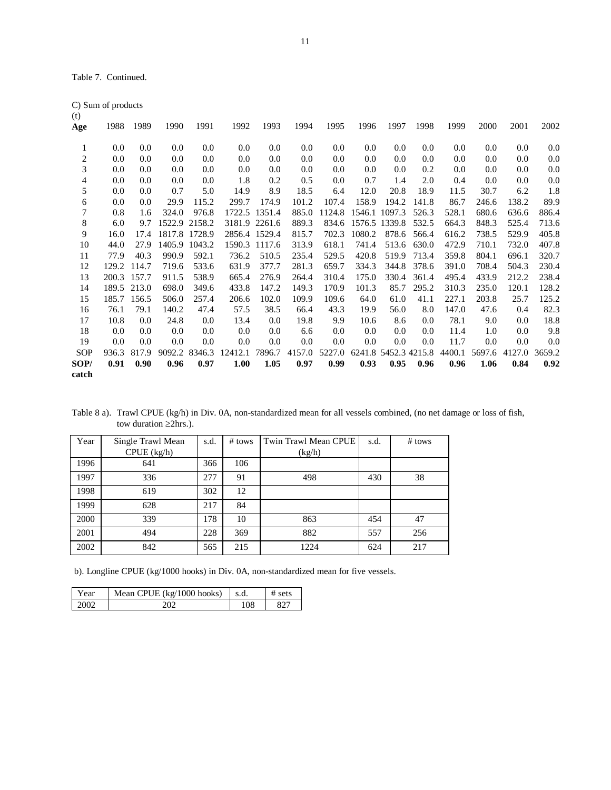Table 7. Continued.

|                          | C) Sum of products |       |               |               |         |               |        |        |         |                      |       |        |        |         |        |
|--------------------------|--------------------|-------|---------------|---------------|---------|---------------|--------|--------|---------|----------------------|-------|--------|--------|---------|--------|
| (t)                      |                    |       |               |               |         |               |        |        |         |                      |       |        |        |         |        |
| Age                      | 1988               | 1989  | 1990          | 1991          | 1992    | 1993          | 1994   | 1995   | 1996    | 1997                 | 1998  | 1999   | 2000   | 2001    | 2002   |
|                          |                    |       |               |               |         |               |        |        |         |                      |       |        |        |         |        |
| 1                        | 0.0                | 0.0   | 0.0           | 0.0           | 0.0     | 0.0           | 0.0    | 0.0    | $0.0\,$ | $0.0\,$              | 0.0   | 0.0    | 0.0    | 0.0     | 0.0    |
| $\overline{c}$           | 0.0                | 0.0   | 0.0           | 0.0           | 0.0     | 0.0           | 0.0    | 0.0    | 0.0     | $0.0\,$              | 0.0   | 0.0    | 0.0    | 0.0     | 0.0    |
| 3                        | 0.0                | 0.0   | 0.0           | 0.0           | 0.0     | 0.0           | 0.0    | 0.0    | 0.0     | 0.0                  | 0.2   | 0.0    | 0.0    | $0.0\,$ | 0.0    |
| $\overline{\mathcal{L}}$ | 0.0                | 0.0   | 0.0           | 0.0           | 1.8     | 0.2           | 0.5    | 0.0    | 0.7     | 1.4                  | 2.0   | 0.4    | 0.0    | 0.0     | 0.0    |
| 5                        | 0.0                | 0.0   | 0.7           | 5.0           | 14.9    | 8.9           | 18.5   | 6.4    | 12.0    | 20.8                 | 18.9  | 11.5   | 30.7   | 6.2     | 1.8    |
| 6                        | 0.0                | 0.0   | 29.9          | 115.2         | 299.7   | 174.9         | 101.2  | 107.4  | 158.9   | 194.2                | 141.8 | 86.7   | 246.6  | 138.2   | 89.9   |
| 7                        | 0.8                | 1.6   | 324.0         | 976.8         |         | 1722.5 1351.4 | 885.0  | 1124.8 |         | 1546.1 1097.3        | 526.3 | 528.1  | 680.6  | 636.6   | 886.4  |
| 8                        | 6.0                | 9.7   | 1522.9 2158.2 |               |         | 3181.9 2261.6 | 889.3  | 834.6  |         | 1576.5 1339.8        | 532.5 | 664.3  | 848.3  | 525.4   | 713.6  |
| 9                        | 16.0               | 17.4  | 1817.8 1728.9 |               |         | 2856.4 1529.4 | 815.7  | 702.3  | 1080.2  | 878.6                | 566.4 | 616.2  | 738.5  | 529.9   | 405.8  |
| 10                       | 44.0               | 27.9  |               | 1405.9 1043.2 |         | 1590.3 1117.6 | 313.9  | 618.1  | 741.4   | 513.6                | 630.0 | 472.9  | 710.1  | 732.0   | 407.8  |
| 11                       | 77.9               | 40.3  | 990.9         | 592.1         | 736.2   | 510.5         | 235.4  | 529.5  | 420.8   | 519.9                | 713.4 | 359.8  | 804.1  | 696.1   | 320.7  |
| 12                       | 129.2              | 114.7 | 719.6         | 533.6         | 631.9   | 377.7         | 281.3  | 659.7  | 334.3   | 344.8                | 378.6 | 391.0  | 708.4  | 504.3   | 230.4  |
| 13                       | 200.3              | 157.7 | 911.5         | 538.9         | 665.4   | 276.9         | 264.4  | 310.4  | 175.0   | 330.4                | 361.4 | 495.4  | 433.9  | 212.2   | 238.4  |
| 14                       | 189.5              | 213.0 | 698.0         | 349.6         | 433.8   | 147.2         | 149.3  | 170.9  | 101.3   | 85.7                 | 295.2 | 310.3  | 235.0  | 120.1   | 128.2  |
| 15                       | 185.7              | 156.5 | 506.0         | 257.4         | 206.6   | 102.0         | 109.9  | 109.6  | 64.0    | 61.0                 | 41.1  | 227.1  | 203.8  | 25.7    | 125.2  |
| 16                       | 76.1               | 79.1  | 140.2         | 47.4          | 57.5    | 38.5          | 66.4   | 43.3   | 19.9    | 56.0                 | 8.0   | 147.0  | 47.6   | 0.4     | 82.3   |
| 17                       | 10.8               | 0.0   | 24.8          | 0.0           | 13.4    | $0.0\,$       | 19.8   | 9.9    | 10.6    | 8.6                  | 0.0   | 78.1   | 9.0    | 0.0     | 18.8   |
| 18                       | 0.0                | 0.0   | 0.0           | 0.0           | 0.0     | $0.0\,$       | 6.6    | 0.0    | 0.0     | 0.0                  | 0.0   | 11.4   | 1.0    | 0.0     | 9.8    |
| 19                       | 0.0                | 0.0   | 0.0           | 0.0           | 0.0     | 0.0           | 0.0    | 0.0    | 0.0     | 0.0                  | 0.0   | 11.7   | 0.0    | 0.0     | 0.0    |
| <b>SOP</b>               | 936.3              | 817.9 | 9092.2        | 8346.3        | 12412.1 | 7896.7        | 4157.0 | 5227.0 |         | 6241.8 5452.3 4215.8 |       | 4400.1 | 5697.6 | 4127.0  | 3659.2 |
| SOP/                     | 0.91               | 0.90  | 0.96          | 0.97          | 1.00    | 1.05          | 0.97   | 0.99   | 0.93    | 0.95                 | 0.96  | 0.96   | 1.06   | 0.84    | 0.92   |
| catch                    |                    |       |               |               |         |               |        |        |         |                      |       |        |        |         |        |

Table 8 a). Trawl CPUE (kg/h) in Div. 0A, non-standardized mean for all vessels combined, (no net damage or loss of fish, tow duration ≥2hrs.).

| Year | Single Trawl Mean | s.d. | # tows | Twin Trawl Mean CPUE | s.d. | # tows |
|------|-------------------|------|--------|----------------------|------|--------|
|      | CPUE (kg/h)       |      |        | (kg/h)               |      |        |
| 1996 | 641               | 366  | 106    |                      |      |        |
| 1997 | 336               | 277  | 91     | 498                  | 430  | 38     |
| 1998 | 619               | 302  | 12     |                      |      |        |
| 1999 | 628               | 217  | 84     |                      |      |        |
| 2000 | 339               | 178  | 10     | 863                  | 454  | 47     |
| 2001 | 494               | 228  | 369    | 882                  | 557  | 256    |
| 2002 | 842               | 565  | 215    | 1224                 | 624  | 217    |

b). Longline CPUE (kg/1000 hooks) in Div. 0A, non-standardized mean for five vessels.

| Year | Mean CPUE $(kg/1000$ hooks) | s.d. | # sets |
|------|-----------------------------|------|--------|
| ാററാ |                             | 108  |        |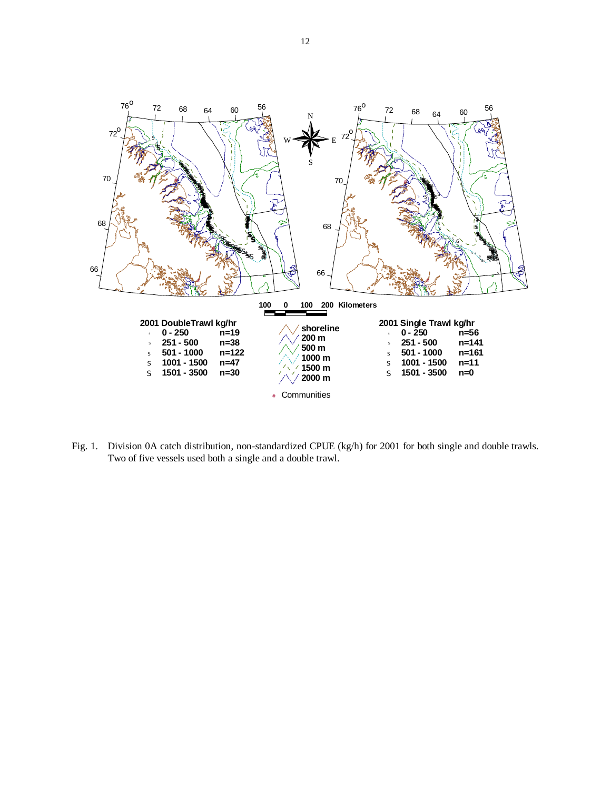

Fig. 1. Division 0A catch distribution, non-standardized CPUE (kg/h) for 2001 for both single and double trawls. Two of five vessels used both a single and a double trawl.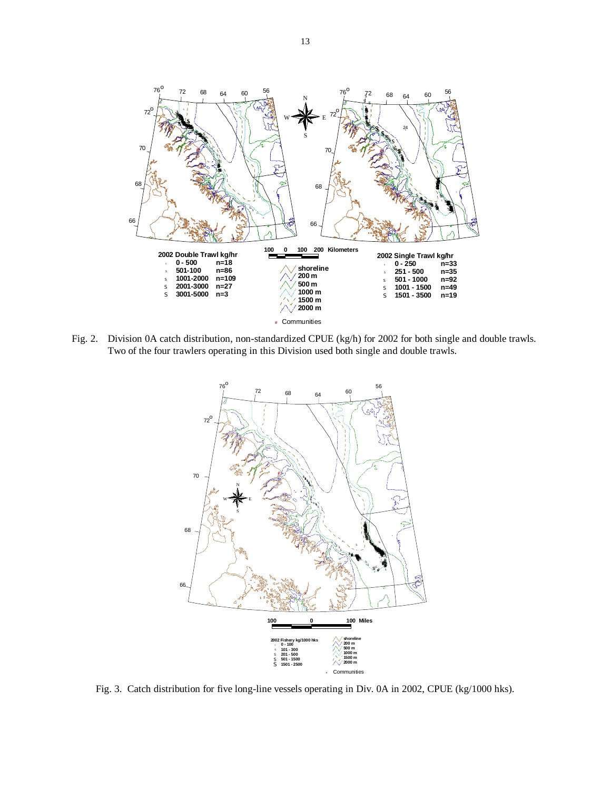

Fig. 2. Division 0A catch distribution, non-standardized CPUE (kg/h) for 2002 for both single and double trawls. Two of the four trawlers operating in this Division used both single and double trawls.



Fig. 3. Catch distribution for five long-line vessels operating in Div. 0A in 2002, CPUE (kg/1000 hks).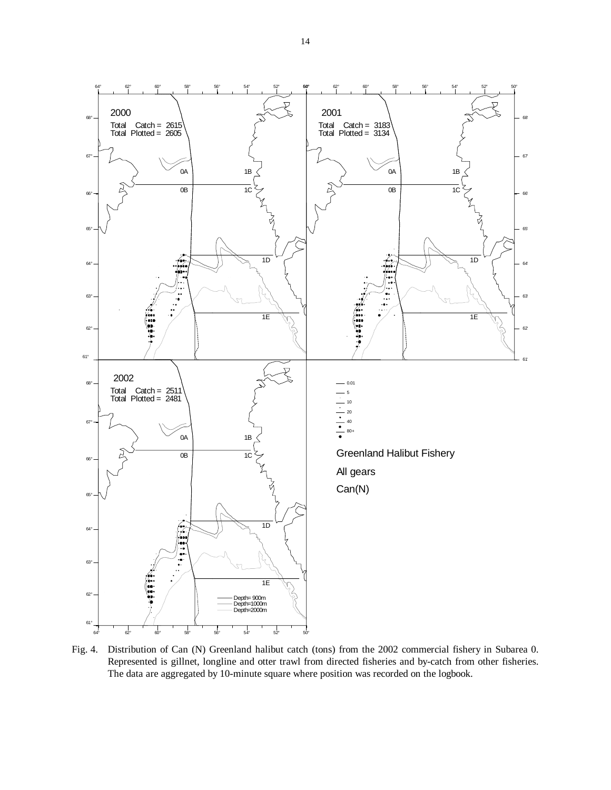

Fig. 4. Distribution of Can (N) Greenland halibut catch (tons) from the 2002 commercial fishery in Subarea 0. Represented is gillnet, longline and otter trawl from directed fisheries and by-catch from other fisheries. The data are aggregated by 10-minute square where position was recorded on the logbook.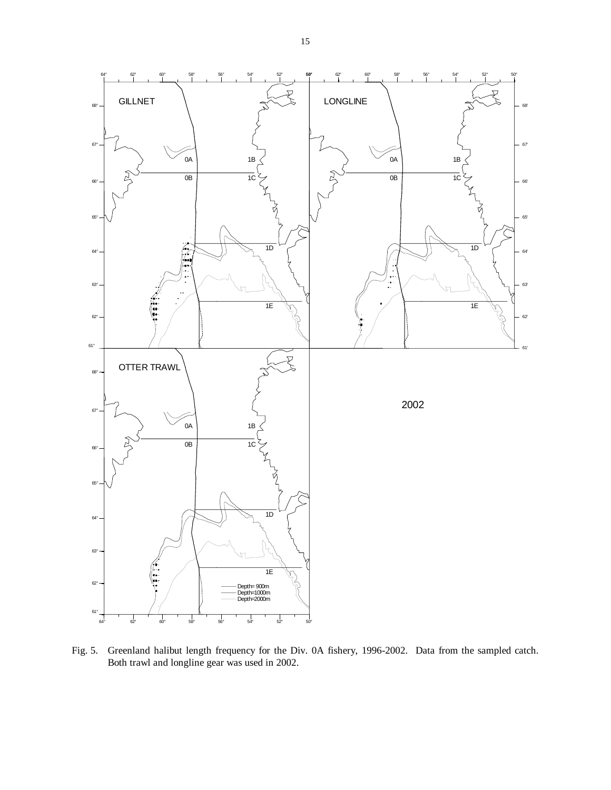

Fig. 5. Greenland halibut length frequency for the Div. 0A fishery, 1996-2002. Data from the sampled catch. Both trawl and longline gear was used in 2002.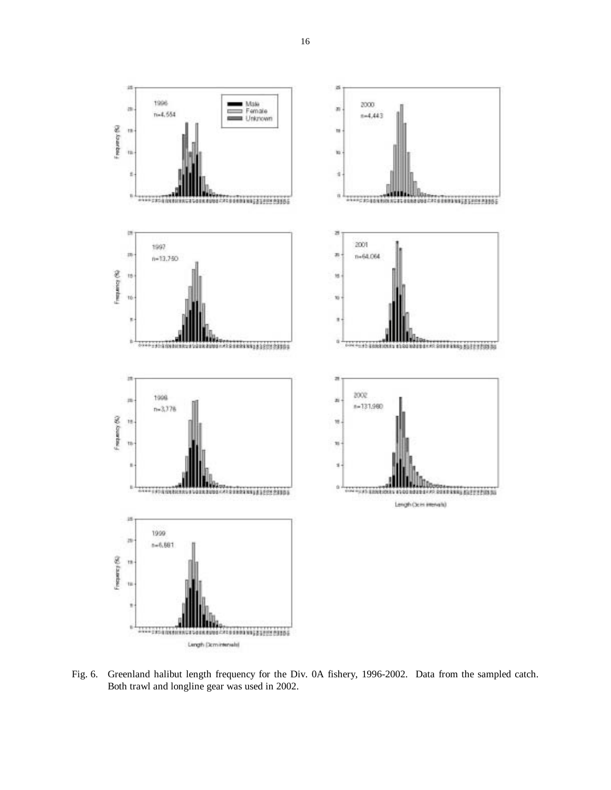

Fig. 6. Greenland halibut length frequency for the Div. 0A fishery, 1996-2002. Data from the sampled catch. Both trawl and longline gear was used in 2002.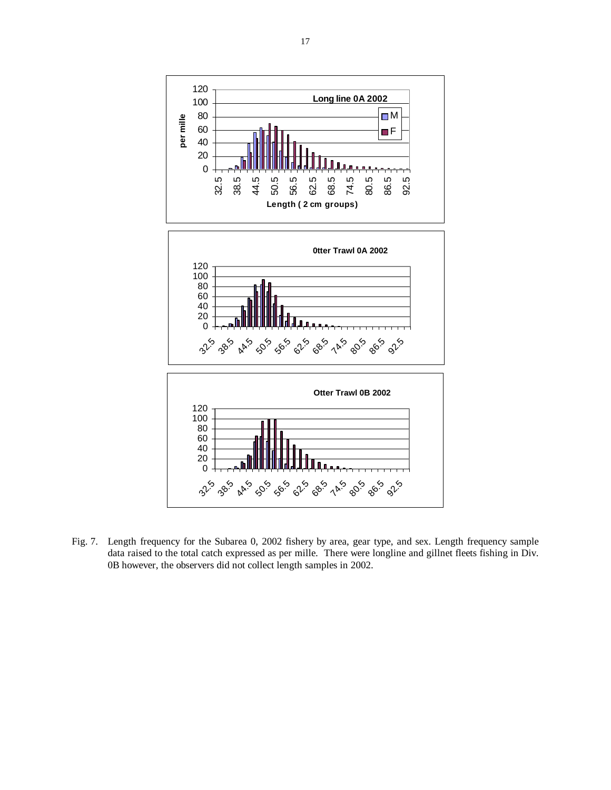

Fig. 7. Length frequency for the Subarea 0, 2002 fishery by area, gear type, and sex. Length frequency sample data raised to the total catch expressed as per mille. There were longline and gillnet fleets fishing in Div. 0B however, the observers did not collect length samples in 2002.